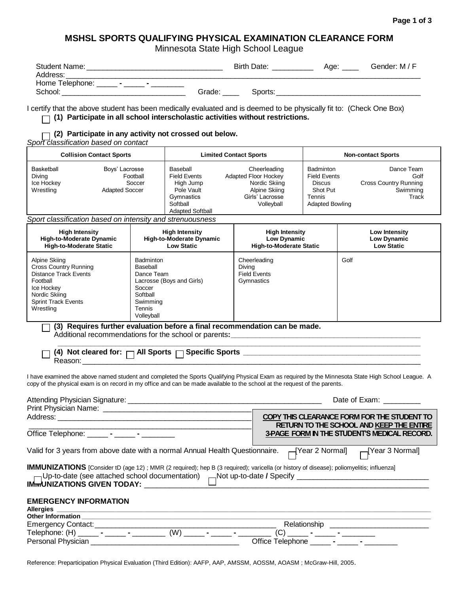## **MSHSL SPORTS QUALIFYING PHYSICAL EXAMINATION CLEARANCE FORM**

Minnesota State High School League

| <b>Student Name:</b> |        | <b>Birth Date:</b> | Age: | Gender: M / F |
|----------------------|--------|--------------------|------|---------------|
| Address:             |        |                    |      |               |
| Home Telephone:      |        |                    |      |               |
| School:              | Grade: | Sports:            |      |               |

I certify that the above student has been medically evaluated and is deemed to be physically fit to: (Check One Box) **(1) Participate in all school interscholastic activities without restrictions.**

**(2) Participate in any activity not crossed out below.**

*Sport classification based on contact*

|                                                 | <b>Collision Contact Sports</b>                               | <b>Limited Contact Sports</b>                                                                                   |                                                                                                                | <b>Non-contact Sports</b>                                                                                |                                                                  |  |
|-------------------------------------------------|---------------------------------------------------------------|-----------------------------------------------------------------------------------------------------------------|----------------------------------------------------------------------------------------------------------------|----------------------------------------------------------------------------------------------------------|------------------------------------------------------------------|--|
| Basketball<br>Diving<br>Ice Hockey<br>Wrestling | Boys' Lacrosse<br>Football<br>Soccer<br><b>Adapted Soccer</b> | Baseball<br><b>Field Events</b><br>High Jump<br>Pole Vault<br>Gymnastics<br>Softball<br><b>Adapted Softball</b> | Cheerleading<br><b>Adapted Floor Hockey</b><br>Nordic Skiing<br>Alpine Skiing<br>Girls' Lacrosse<br>Volleyball | Badminton<br><b>Field Events</b><br><b>Discus</b><br>Shot Put<br><b>Tennis</b><br><b>Adapted Bowling</b> | Dance Team<br>Golf<br>Cross Country Running<br>Swimming<br>Track |  |

*Sport classification based on intensity and strenuousness*

| <b>High Intensity</b>                                                                                                                                               | <b>High Intensity</b>                                                                                                             | <b>High Intensity</b>                                       | Low Intensity     |
|---------------------------------------------------------------------------------------------------------------------------------------------------------------------|-----------------------------------------------------------------------------------------------------------------------------------|-------------------------------------------------------------|-------------------|
| High-to-Moderate Dynamic                                                                                                                                            | <b>High-to-Moderate Dynamic</b>                                                                                                   | Low Dynamic                                                 | Low Dynamic       |
| <b>High-to-Moderate Static</b>                                                                                                                                      | <b>Low Static</b>                                                                                                                 | <b>High-to-Moderate Static</b>                              | <b>Low Static</b> |
| Alpine Skiing<br><b>Cross Country Running</b><br><b>Distance Track Events</b><br>Football<br>Ice Hockey<br>Nordic Skiing<br><b>Sprint Track Events</b><br>Wrestling | <b>Badminton</b><br>Baseball<br>Dance Team<br>Lacrosse (Boys and Girls)<br>Soccer<br>Softball<br>Swimming<br>Tennis<br>Volleyball | Cheerleading<br>Divina<br><b>Field Events</b><br>Gymnastics | Golf              |

**(3) Requires further evaluation before a final recommendation can be made.**

Additional recommendations for the school or parents:

| cleared for: $\Box$ All Sports $\Box$ Specific Sports<br>—<br>〔4〕Not 、 |  |
|------------------------------------------------------------------------|--|
|                                                                        |  |

I have examined the above named student and completed the Sports Qualifying Physical Exam as required by the Minnesota State High School League. A copy of the physical exam is on record in my office and can be made available to the school at the request of the parents.

|                                                                                                                                                | Date of Exam:                                       |  |  |
|------------------------------------------------------------------------------------------------------------------------------------------------|-----------------------------------------------------|--|--|
|                                                                                                                                                |                                                     |  |  |
|                                                                                                                                                | COPY THIS CLEARANCE FORM FOR THE STUDENT TO         |  |  |
|                                                                                                                                                | RETURN TO THE SCHOOL AND KEEP THE ENTIRE            |  |  |
| Office Telephone: _______ - ______ - ________                                                                                                  | <b>3-PAGE FORM IN THE STUDENT'S MEDICAL RECORD.</b> |  |  |
| Valid for 3 years from above date with a normal Annual Health Questionnaire. $\Box$ [Year 2 Normal] $\Box$ [Year 3 Normal]                     |                                                     |  |  |
| <b>IMMUNIZATIONS</b> [Consider tD (age 12); MMR (2 required); hep B (3 required); varicella (or history of disease); poliomyelitis; influenza] |                                                     |  |  |
| <b>EMERGENCY INFORMATION</b><br><b>Allergies</b>                                                                                               |                                                     |  |  |
| Other Information <b>Other Information</b>                                                                                                     |                                                     |  |  |
|                                                                                                                                                | Relationship ____________                           |  |  |
|                                                                                                                                                | (C)                                                 |  |  |
|                                                                                                                                                | Office Telephone _______ - ______ - ________        |  |  |

Reference: Preparticipation Physical Evaluation (Third Edition): AAFP, AAP, AMSSM, AOSSM, AOASM ; McGraw-Hill, 2005.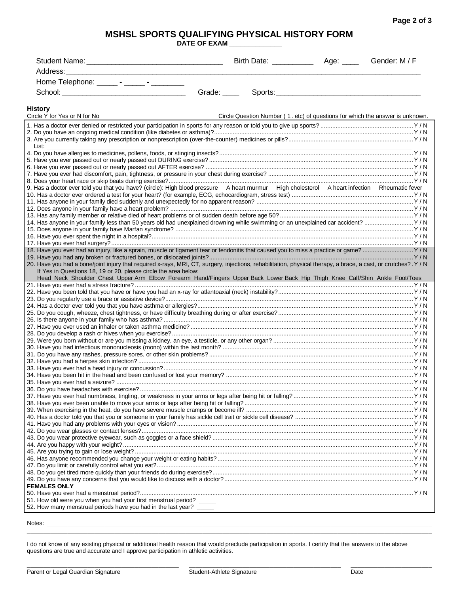**Page 2 of 3**

## **MSHSL SPORTS QUALIFYING PHYSICAL HISTORY FORM**

**DATE OF EXAM \_\_\_\_\_\_\_\_\_\_\_\_\_\_**

|                                                                                                                                                                 | Birth Date: <u>________________</u>                                           | Age: Gender: M / F |  |
|-----------------------------------------------------------------------------------------------------------------------------------------------------------------|-------------------------------------------------------------------------------|--------------------|--|
| Address:                                                                                                                                                        |                                                                               |                    |  |
| Home Telephone: _______ - ______ - _________                                                                                                                    |                                                                               |                    |  |
| Grade: ____                                                                                                                                                     |                                                                               |                    |  |
|                                                                                                                                                                 |                                                                               |                    |  |
| <b>History</b>                                                                                                                                                  |                                                                               |                    |  |
| Circle Y for Yes or N for No                                                                                                                                    | Circle Question Number (1. etc) of questions for which the answer is unknown. |                    |  |
|                                                                                                                                                                 |                                                                               |                    |  |
|                                                                                                                                                                 |                                                                               |                    |  |
| List: List                                                                                                                                                      |                                                                               |                    |  |
|                                                                                                                                                                 |                                                                               |                    |  |
|                                                                                                                                                                 |                                                                               |                    |  |
|                                                                                                                                                                 |                                                                               |                    |  |
|                                                                                                                                                                 |                                                                               |                    |  |
| 9. Has a doctor ever told you that you have? (circle): High blood pressure A heart murmur High cholesterol A heart infection Rheumatic fever                    |                                                                               |                    |  |
|                                                                                                                                                                 |                                                                               |                    |  |
|                                                                                                                                                                 |                                                                               |                    |  |
|                                                                                                                                                                 |                                                                               |                    |  |
| 14. Has anyone in your family less than 50 years old had unexplained drowning while swimming or an unexplained car accident?  Y / N                             |                                                                               |                    |  |
|                                                                                                                                                                 |                                                                               |                    |  |
|                                                                                                                                                                 |                                                                               |                    |  |
|                                                                                                                                                                 |                                                                               |                    |  |
|                                                                                                                                                                 |                                                                               |                    |  |
| 20. Have you had a bone/joint injury that required x-rays, MRI, CT, surgery, injections, rehabilitation, physical therapy, a brace, a cast, or crutches?. Y / N |                                                                               |                    |  |
| If Yes in Questions 18, 19 or 20, please circle the area below:                                                                                                 |                                                                               |                    |  |
| Head Neck Shoulder Chest Upper Arm Elbow Forearm Hand/Fingers Upper Back Lower Back Hip Thigh Knee Calf/Shin Ankle Foot/Toes                                    |                                                                               |                    |  |
|                                                                                                                                                                 |                                                                               |                    |  |
|                                                                                                                                                                 |                                                                               |                    |  |
|                                                                                                                                                                 |                                                                               |                    |  |
|                                                                                                                                                                 |                                                                               |                    |  |
|                                                                                                                                                                 |                                                                               |                    |  |
|                                                                                                                                                                 |                                                                               |                    |  |
|                                                                                                                                                                 |                                                                               |                    |  |
|                                                                                                                                                                 |                                                                               |                    |  |
|                                                                                                                                                                 |                                                                               |                    |  |
|                                                                                                                                                                 |                                                                               |                    |  |
|                                                                                                                                                                 |                                                                               |                    |  |
|                                                                                                                                                                 |                                                                               |                    |  |
|                                                                                                                                                                 |                                                                               |                    |  |
|                                                                                                                                                                 |                                                                               |                    |  |
|                                                                                                                                                                 |                                                                               |                    |  |
|                                                                                                                                                                 |                                                                               |                    |  |
|                                                                                                                                                                 |                                                                               |                    |  |
|                                                                                                                                                                 |                                                                               |                    |  |
|                                                                                                                                                                 |                                                                               |                    |  |
|                                                                                                                                                                 |                                                                               |                    |  |
|                                                                                                                                                                 |                                                                               |                    |  |
|                                                                                                                                                                 |                                                                               |                    |  |
|                                                                                                                                                                 |                                                                               |                    |  |
| <b>FEMALES ONLY</b>                                                                                                                                             |                                                                               |                    |  |
| 51. How old were you when you had your first menstrual period? _____                                                                                            |                                                                               |                    |  |
| 52. How many menstrual periods have you had in the last year? _____                                                                                             |                                                                               |                    |  |
|                                                                                                                                                                 |                                                                               |                    |  |

Notes: \_\_\_\_\_\_\_\_\_\_\_\_\_\_\_\_\_\_\_\_\_\_\_\_\_\_\_\_\_\_\_\_\_\_\_\_\_\_\_\_\_\_\_\_\_\_\_\_\_\_\_\_\_\_\_\_\_\_\_\_\_\_\_\_\_\_\_\_\_\_\_\_\_\_\_\_\_\_\_\_\_\_\_\_\_\_\_\_\_\_\_\_\_\_\_\_\_\_\_\_\_\_\_\_\_\_\_\_\_\_\_\_\_\_

I do not know of any existing physical or additional health reason that would preclude participation in sports. I certify that the answers to the above questions are true and accurate and I approve participation in athletic activities.

\_\_\_\_\_\_\_\_\_\_\_\_\_\_\_\_\_\_\_\_\_\_\_\_\_\_\_\_\_\_\_\_\_\_\_\_\_\_\_\_\_\_\_\_\_\_\_\_\_\_\_\_\_\_\_\_\_\_\_\_\_\_\_\_\_\_\_\_\_\_\_\_\_\_\_\_\_\_\_\_\_\_\_\_\_\_\_\_\_\_\_\_\_\_\_\_\_\_\_\_\_\_\_\_\_\_\_\_\_\_\_\_\_\_\_\_\_\_\_\_